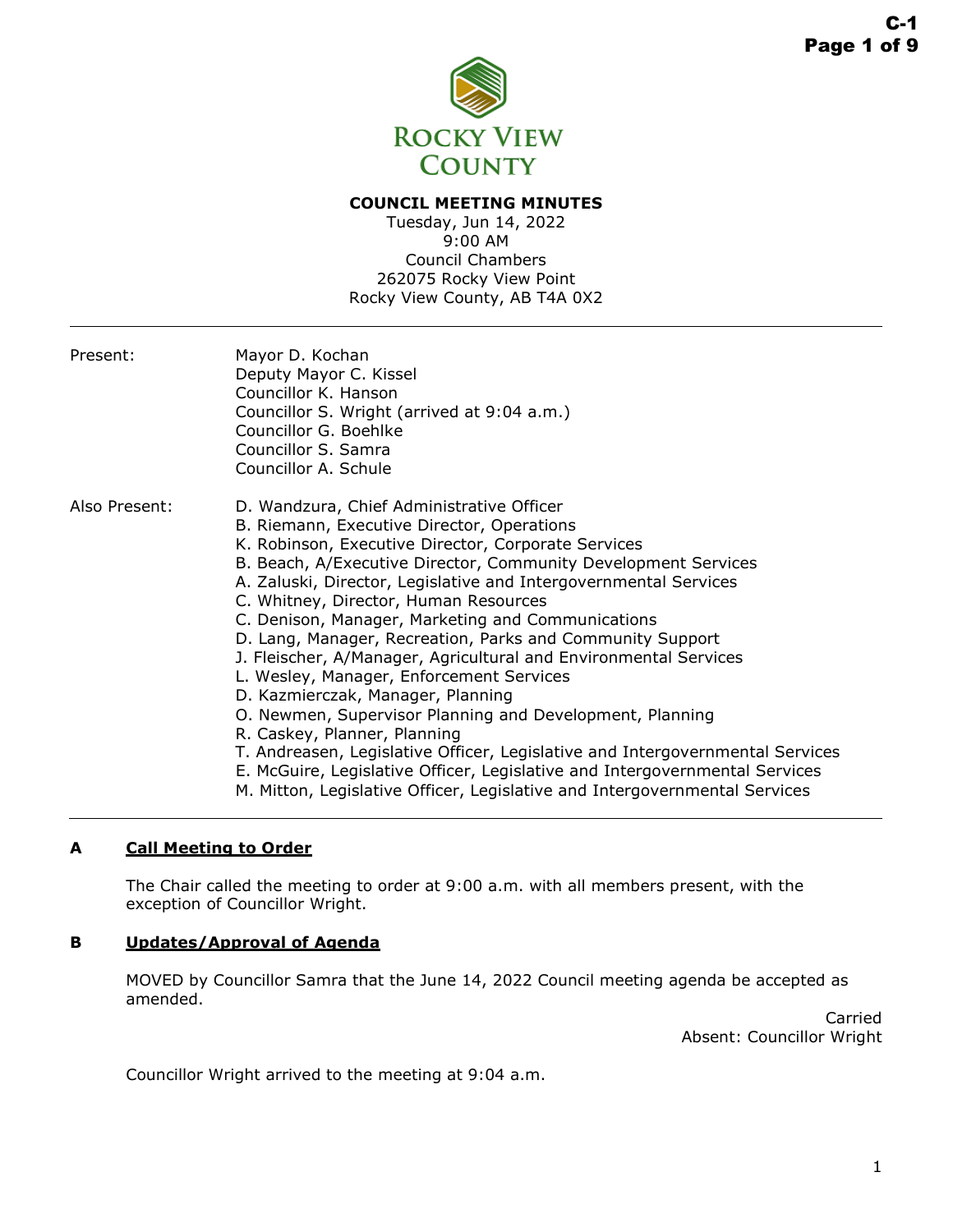

# **COUNCIL MEETING MINUTES**

Tuesday, Jun 14, 2022 9:00 AM Council Chambers 262075 Rocky View Point Rocky View County, AB T4A 0X2

| Present:      | Mayor D. Kochan<br>Deputy Mayor C. Kissel<br>Councillor K. Hanson<br>Councillor S. Wright (arrived at 9:04 a.m.)<br>Councillor G. Boehlke<br>Councillor S. Samra<br>Councillor A. Schule                                                                                                                                                                                                                                                                                                                                                                                                                                                                                                                                                                                                                                                                                                                                                       |
|---------------|------------------------------------------------------------------------------------------------------------------------------------------------------------------------------------------------------------------------------------------------------------------------------------------------------------------------------------------------------------------------------------------------------------------------------------------------------------------------------------------------------------------------------------------------------------------------------------------------------------------------------------------------------------------------------------------------------------------------------------------------------------------------------------------------------------------------------------------------------------------------------------------------------------------------------------------------|
| Also Present: | D. Wandzura, Chief Administrative Officer<br>B. Riemann, Executive Director, Operations<br>K. Robinson, Executive Director, Corporate Services<br>B. Beach, A/Executive Director, Community Development Services<br>A. Zaluski, Director, Legislative and Intergovernmental Services<br>C. Whitney, Director, Human Resources<br>C. Denison, Manager, Marketing and Communications<br>D. Lang, Manager, Recreation, Parks and Community Support<br>J. Fleischer, A/Manager, Agricultural and Environmental Services<br>L. Wesley, Manager, Enforcement Services<br>D. Kazmierczak, Manager, Planning<br>O. Newmen, Supervisor Planning and Development, Planning<br>R. Caskey, Planner, Planning<br>T. Andreasen, Legislative Officer, Legislative and Intergovernmental Services<br>E. McGuire, Legislative Officer, Legislative and Intergovernmental Services<br>M. Mitton, Legislative Officer, Legislative and Intergovernmental Services |

# **A Call Meeting to Order**

The Chair called the meeting to order at 9:00 a.m. with all members present, with the exception of Councillor Wright.

## **B Updates/Approval of Agenda**

MOVED by Councillor Samra that the June 14, 2022 Council meeting agenda be accepted as amended.

Carried Absent: Councillor Wright

Councillor Wright arrived to the meeting at 9:04 a.m.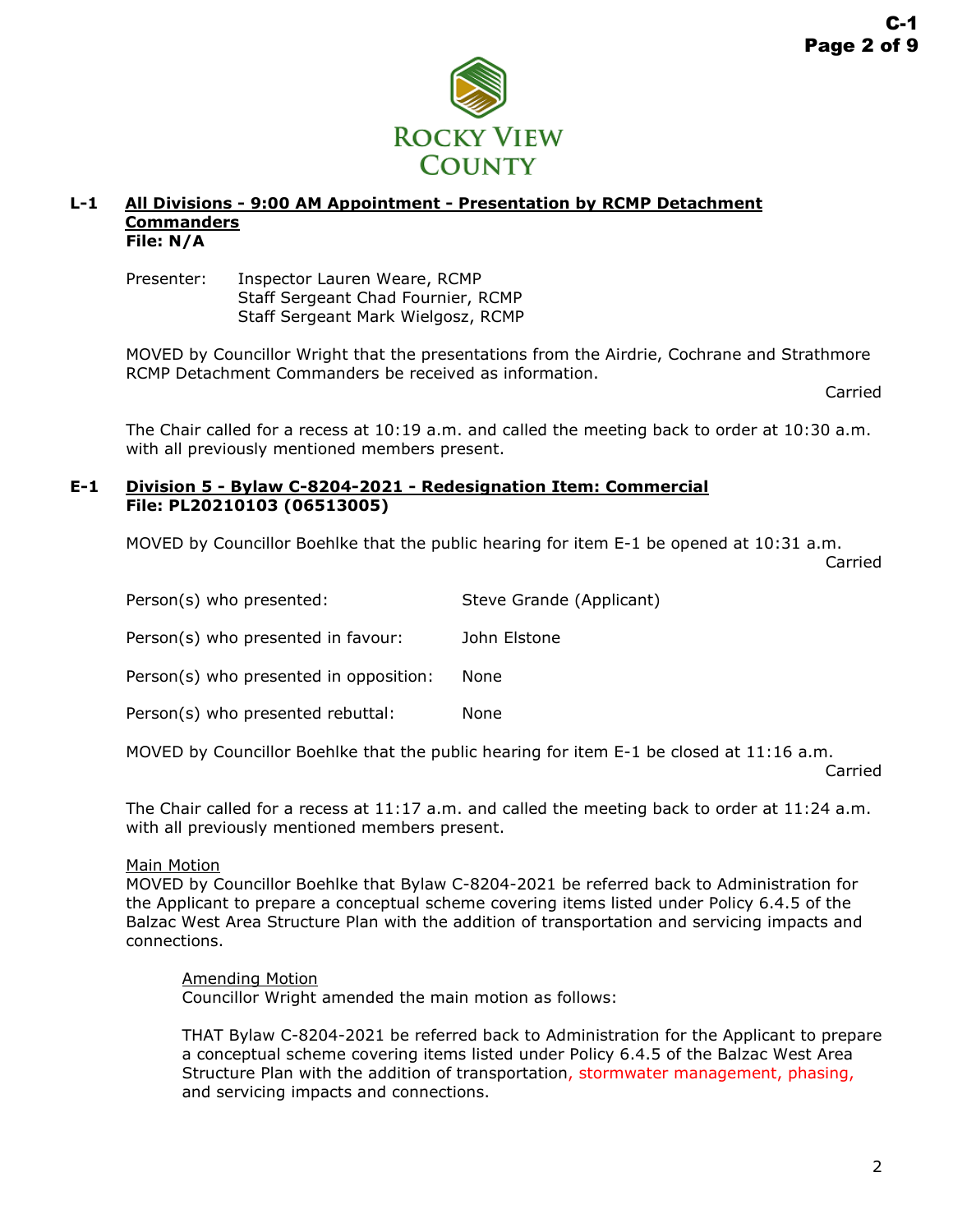

#### **L-1 All Divisions - 9:00 AM Appointment - Presentation by RCMP Detachment Commanders File: N/A**

Presenter: Inspector Lauren Weare, RCMP Staff Sergeant Chad Fournier, RCMP Staff Sergeant Mark Wielgosz, RCMP

MOVED by Councillor Wright that the presentations from the Airdrie, Cochrane and Strathmore RCMP Detachment Commanders be received as information.

Carried

The Chair called for a recess at 10:19 a.m. and called the meeting back to order at 10:30 a.m. with all previously mentioned members present.

### **E-1 Division 5 - Bylaw C-8204-2021 - Redesignation Item: Commercial File: PL20210103 (06513005)**

MOVED by Councillor Boehlke that the public hearing for item E-1 be opened at 10:31 a.m.

Carried

| Person(s) who presented:               | Steve Grande (Applicant) |
|----------------------------------------|--------------------------|
| Person(s) who presented in favour:     | John Elstone             |
| Person(s) who presented in opposition: | None                     |
| Person(s) who presented rebuttal:      | None                     |
|                                        |                          |

MOVED by Councillor Boehlke that the public hearing for item E-1 be closed at 11:16 a.m.

Carried

The Chair called for a recess at 11:17 a.m. and called the meeting back to order at 11:24 a.m. with all previously mentioned members present.

### Main Motion

MOVED by Councillor Boehlke that Bylaw C-8204-2021 be referred back to Administration for the Applicant to prepare a conceptual scheme covering items listed under Policy 6.4.5 of the Balzac West Area Structure Plan with the addition of transportation and servicing impacts and connections.

Amending Motion Councillor Wright amended the main motion as follows:

THAT Bylaw C-8204-2021 be referred back to Administration for the Applicant to prepare a conceptual scheme covering items listed under Policy 6.4.5 of the Balzac West Area Structure Plan with the addition of transportation, stormwater management, phasing, and servicing impacts and connections.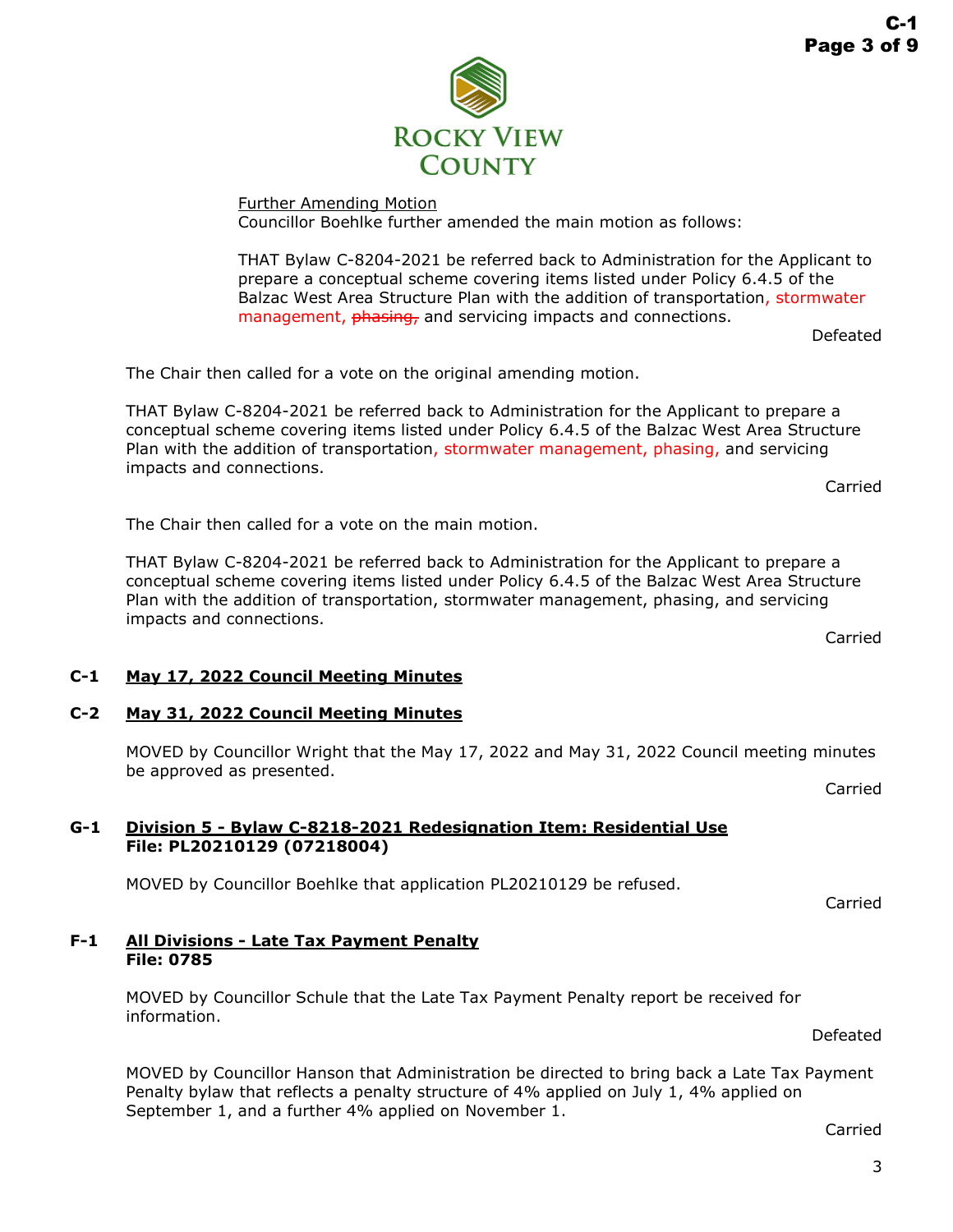

Further Amending Motion Councillor Boehlke further amended the main motion as follows:

THAT Bylaw C-8204-2021 be referred back to Administration for the Applicant to prepare a conceptual scheme covering items listed under Policy 6.4.5 of the Balzac West Area Structure Plan with the addition of transportation, stormwater management, phasing, and servicing impacts and connections.

Defeated

The Chair then called for a vote on the original amending motion.

THAT Bylaw C-8204-2021 be referred back to Administration for the Applicant to prepare a conceptual scheme covering items listed under Policy 6.4.5 of the Balzac West Area Structure Plan with the addition of transportation, stormwater management, phasing, and servicing impacts and connections.

Carried

The Chair then called for a vote on the main motion.

THAT Bylaw C-8204-2021 be referred back to Administration for the Applicant to prepare a conceptual scheme covering items listed under Policy 6.4.5 of the Balzac West Area Structure Plan with the addition of transportation, stormwater management, phasing, and servicing impacts and connections.

Carried

# **C-1 May 17, 2022 Council Meeting Minutes**

# **C-2 May 31, 2022 Council Meeting Minutes**

MOVED by Councillor Wright that the May 17, 2022 and May 31, 2022 Council meeting minutes be approved as presented.

Carried

### **G-1 Division 5 - Bylaw C-8218-2021 Redesignation Item: Residential Use File: PL20210129 (07218004)**

MOVED by Councillor Boehlke that application PL20210129 be refused.

Carried

### **F-1 All Divisions - Late Tax Payment Penalty File: 0785**

MOVED by Councillor Schule that the Late Tax Payment Penalty report be received for information.

Defeated

MOVED by Councillor Hanson that Administration be directed to bring back a Late Tax Payment Penalty bylaw that reflects a penalty structure of 4% applied on July 1, 4% applied on September 1, and a further 4% applied on November 1.

Carried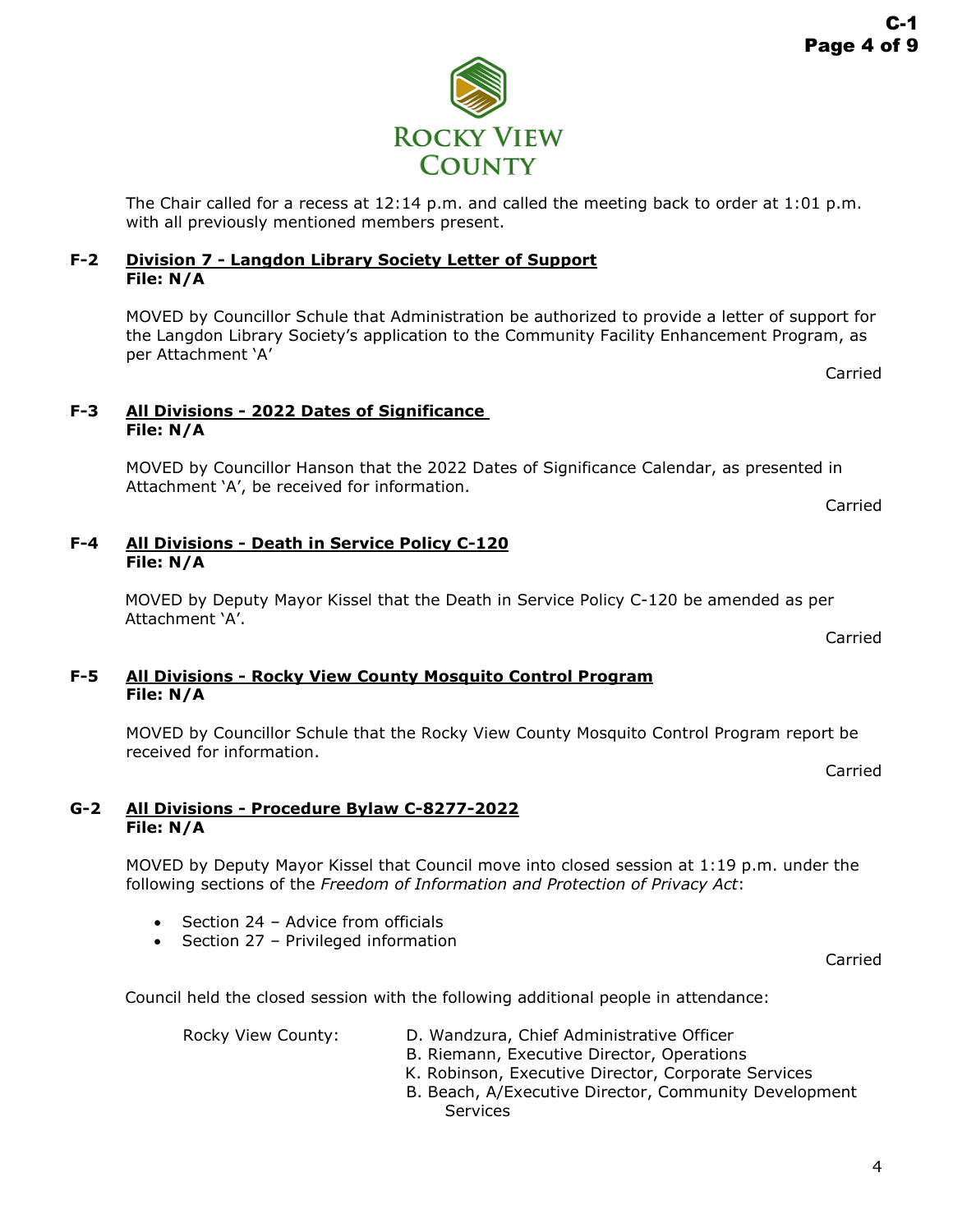The Chair called for a recess at 12:14 p.m. and called the meeting back to order at 1:01 p.m. with all previously mentioned members present.

# **F-2 Division 7 - Langdon Library Society Letter of Support File: N/A**

MOVED by Councillor Schule that Administration be authorized to provide a letter of support for the Langdon Library Society's application to the Community Facility Enhancement Program, as per Attachment 'A'

Carried

# **F-3 All Divisions - 2022 Dates of Significance File: N/A**

MOVED by Councillor Hanson that the 2022 Dates of Significance Calendar, as presented in Attachment 'A', be received for information.

Carried

# **F-4 All Divisions - Death in Service Policy C-120 File: N/A**

MOVED by Deputy Mayor Kissel that the Death in Service Policy C-120 be amended as per Attachment 'A'. Carried

# **F-5 All Divisions - Rocky View County Mosquito Control Program File: N/A**

MOVED by Councillor Schule that the Rocky View County Mosquito Control Program report be received for information.

Carried

# **G-2 All Divisions - Procedure Bylaw C-8277-2022 File: N/A**

MOVED by Deputy Mayor Kissel that Council move into closed session at 1:19 p.m. under the following sections of the *Freedom of Information and Protection of Privacy Act*:

- Section 24 Advice from officials
- Section 27 Privileged information

Carried

Council held the closed session with the following additional people in attendance:

- Rocky View County: D. Wandzura, Chief Administrative Officer
	- B. Riemann, Executive Director, Operations
	- K. Robinson, Executive Director, Corporate Services
	- B. Beach, A/Executive Director, Community Development Services

**ROCKY VIEW COUNTY**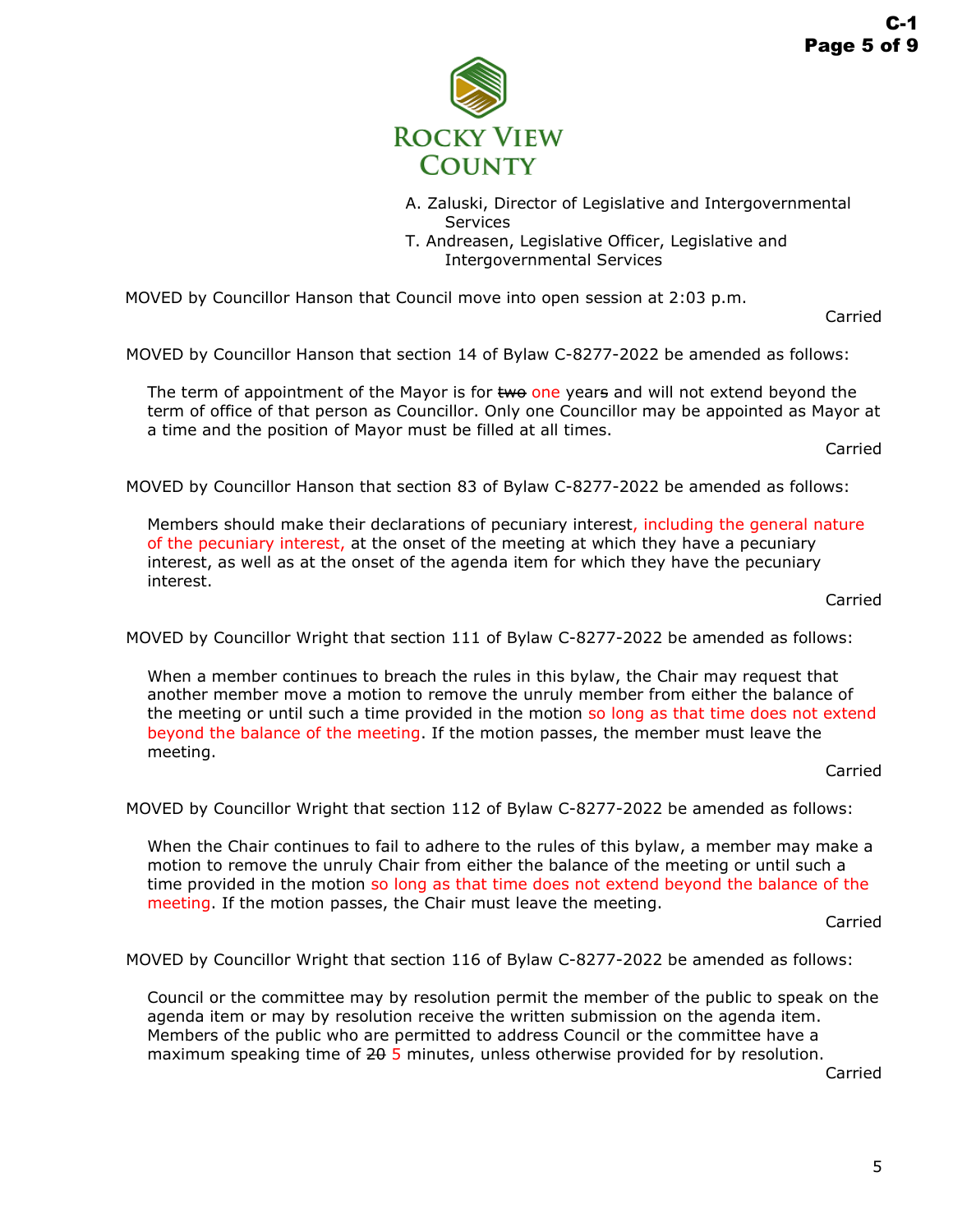

- A. Zaluski, Director of Legislative and Intergovernmental Services
- T. Andreasen, Legislative Officer, Legislative and Intergovernmental Services

MOVED by Councillor Hanson that Council move into open session at 2:03 p.m.

Carried

MOVED by Councillor Hanson that section 14 of Bylaw C-8277-2022 be amended as follows:

The term of appointment of the Mayor is for two one years and will not extend beyond the term of office of that person as Councillor. Only one Councillor may be appointed as Mayor at a time and the position of Mayor must be filled at all times.

Carried

MOVED by Councillor Hanson that section 83 of Bylaw C-8277-2022 be amended as follows:

Members should make their declarations of pecuniary interest, including the general nature of the pecuniary interest, at the onset of the meeting at which they have a pecuniary interest, as well as at the onset of the agenda item for which they have the pecuniary interest.

Carried

MOVED by Councillor Wright that section 111 of Bylaw C-8277-2022 be amended as follows:

When a member continues to breach the rules in this bylaw, the Chair may request that another member move a motion to remove the unruly member from either the balance of the meeting or until such a time provided in the motion so long as that time does not extend beyond the balance of the meeting. If the motion passes, the member must leave the meeting.

Carried

MOVED by Councillor Wright that section 112 of Bylaw C-8277-2022 be amended as follows:

When the Chair continues to fail to adhere to the rules of this bylaw, a member may make a motion to remove the unruly Chair from either the balance of the meeting or until such a time provided in the motion so long as that time does not extend beyond the balance of the meeting. If the motion passes, the Chair must leave the meeting.

Carried

MOVED by Councillor Wright that section 116 of Bylaw C-8277-2022 be amended as follows:

Council or the committee may by resolution permit the member of the public to speak on the agenda item or may by resolution receive the written submission on the agenda item. Members of the public who are permitted to address Council or the committee have a maximum speaking time of  $2\theta$  5 minutes, unless otherwise provided for by resolution.

Carried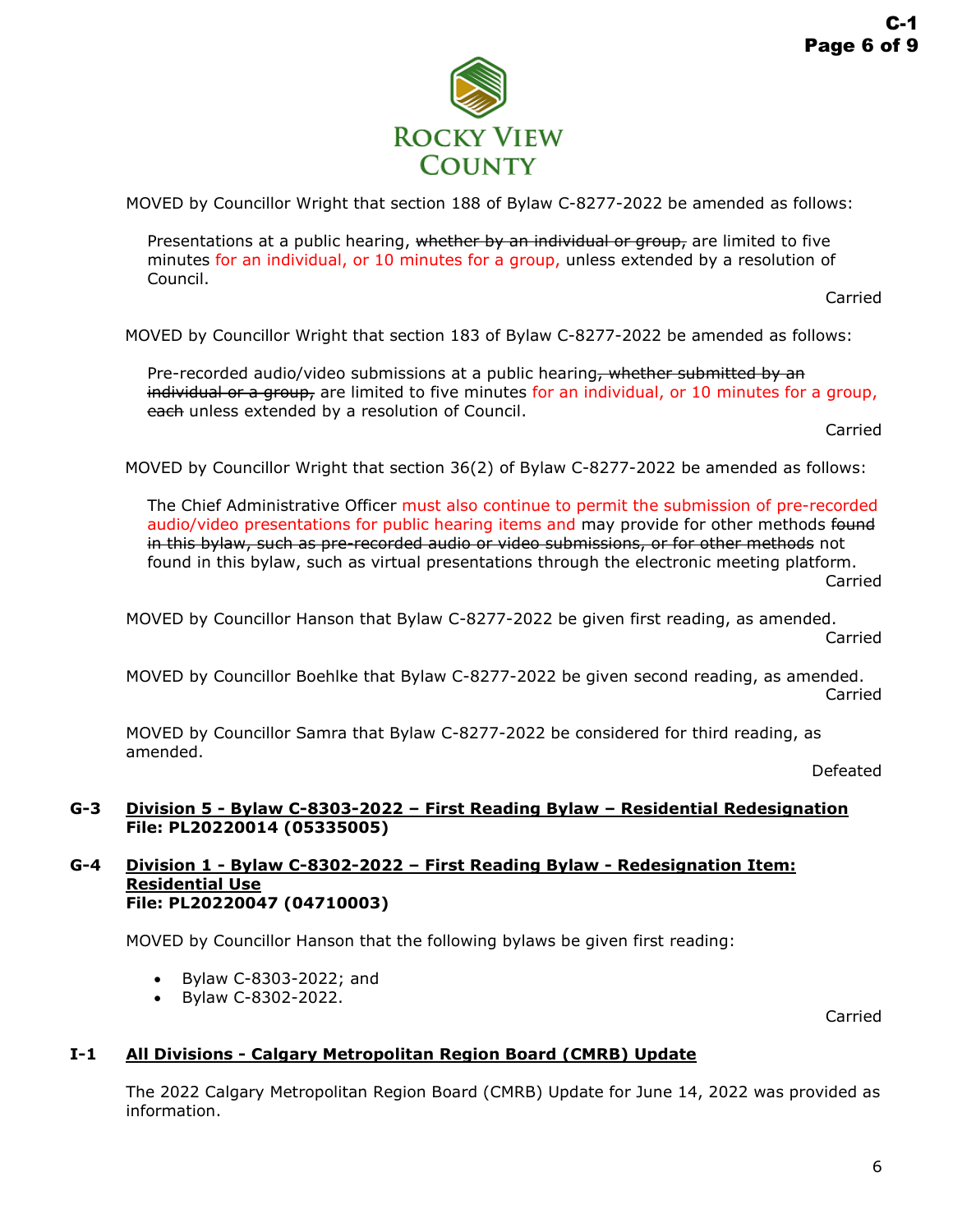

MOVED by Councillor Wright that section 188 of Bylaw C-8277-2022 be amended as follows:

Presentations at a public hearing, whether by an individual or group, are limited to five minutes for an individual, or 10 minutes for a group, unless extended by a resolution of Council.

Carried

MOVED by Councillor Wright that section 183 of Bylaw C-8277-2022 be amended as follows:

Pre-recorded audio/video submissions at a public hearing, whether submitted by an individual or a group, are limited to five minutes for an individual, or 10 minutes for a group, each unless extended by a resolution of Council.

Carried

MOVED by Councillor Wright that section 36(2) of Bylaw C-8277-2022 be amended as follows:

The Chief Administrative Officer must also continue to permit the submission of pre-recorded audio/video presentations for public hearing items and may provide for other methods found in this bylaw, such as pre-recorded audio or video submissions, or for other methods not found in this bylaw, such as virtual presentations through the electronic meeting platform. Carried

MOVED by Councillor Hanson that Bylaw C-8277-2022 be given first reading, as amended. Carried

MOVED by Councillor Boehlke that Bylaw C-8277-2022 be given second reading, as amended. Carried

MOVED by Councillor Samra that Bylaw C-8277-2022 be considered for third reading, as amended.

Defeated

#### **G-3 Division 5 - Bylaw C-8303-2022 – First Reading Bylaw – Residential Redesignation File: PL20220014 (05335005)**

#### **G-4 Division 1 - Bylaw C-8302-2022 – First Reading Bylaw - Redesignation Item: Residential Use File: PL20220047 (04710003)**

MOVED by Councillor Hanson that the following bylaws be given first reading:

- Bylaw C-8303-2022; and
- Bylaw C-8302-2022.

Carried

#### **I-1 All Divisions - Calgary Metropolitan Region Board (CMRB) Update**

The 2022 Calgary Metropolitan Region Board (CMRB) Update for June 14, 2022 was provided as information.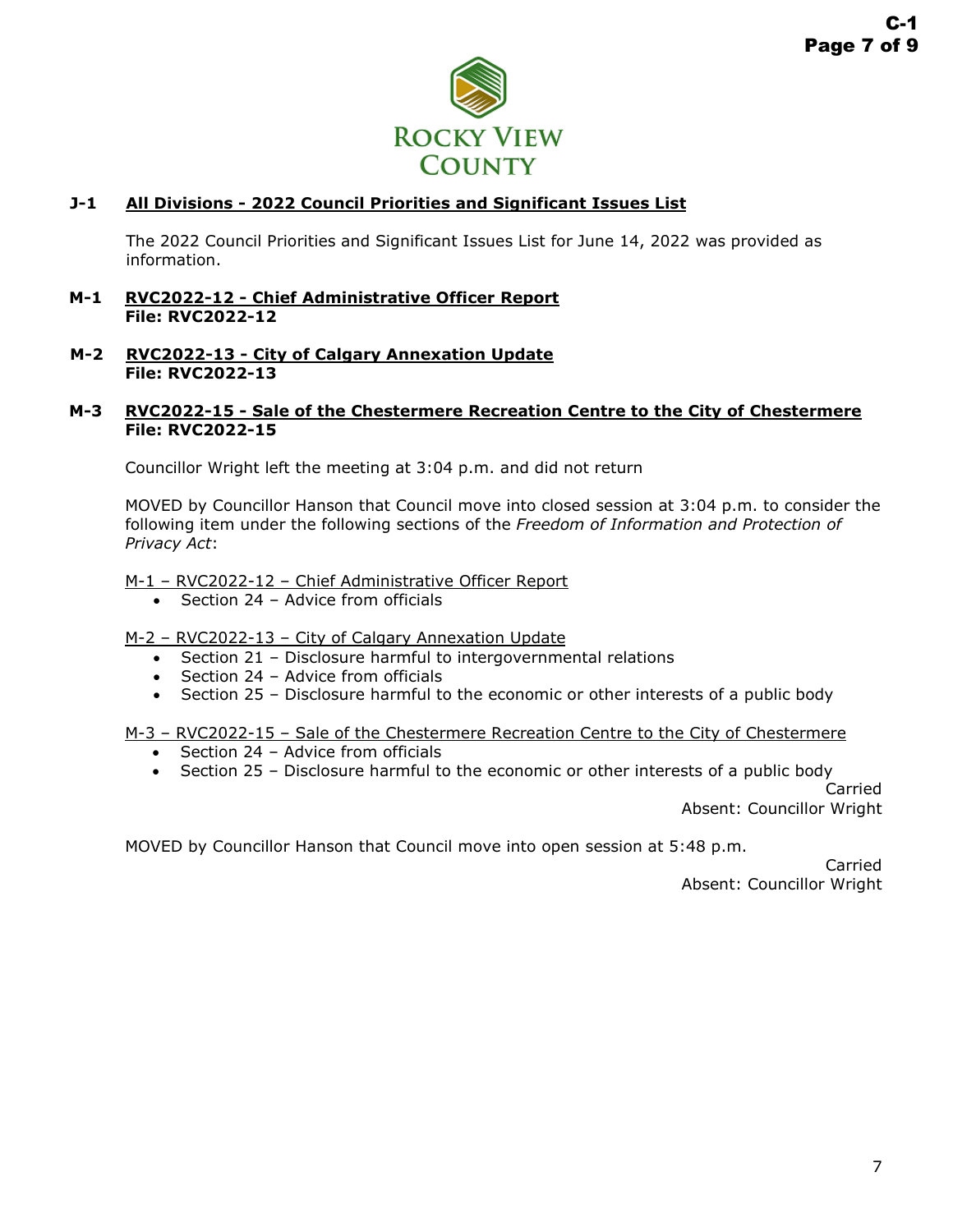

# **J-1 All Divisions - 2022 Council Priorities and Significant Issues List**

The 2022 Council Priorities and Significant Issues List for June 14, 2022 was provided as information.

### **M-1 RVC2022-12 - Chief Administrative Officer Report File: RVC2022-12**

#### **M-2 RVC2022-13 - City of Calgary Annexation Update File: RVC2022-13**

## **M-3 RVC2022-15 - Sale of the Chestermere Recreation Centre to the City of Chestermere File: RVC2022-15**

Councillor Wright left the meeting at 3:04 p.m. and did not return

MOVED by Councillor Hanson that Council move into closed session at 3:04 p.m. to consider the following item under the following sections of the *Freedom of Information and Protection of Privacy Act*:

M-1 – RVC2022-12 – Chief Administrative Officer Report

• Section 24 – Advice from officials

M-2 – RVC2022-13 – City of Calgary Annexation Update

- Section 21 Disclosure harmful to intergovernmental relations
- Section 24 Advice from officials
- Section 25 Disclosure harmful to the economic or other interests of a public body

M-3 – RVC2022-15 – Sale of the Chestermere Recreation Centre to the City of Chestermere

- Section 24 Advice from officials
- Section 25 Disclosure harmful to the economic or other interests of a public body

Carried Absent: Councillor Wright

MOVED by Councillor Hanson that Council move into open session at 5:48 p.m.

Carried Absent: Councillor Wright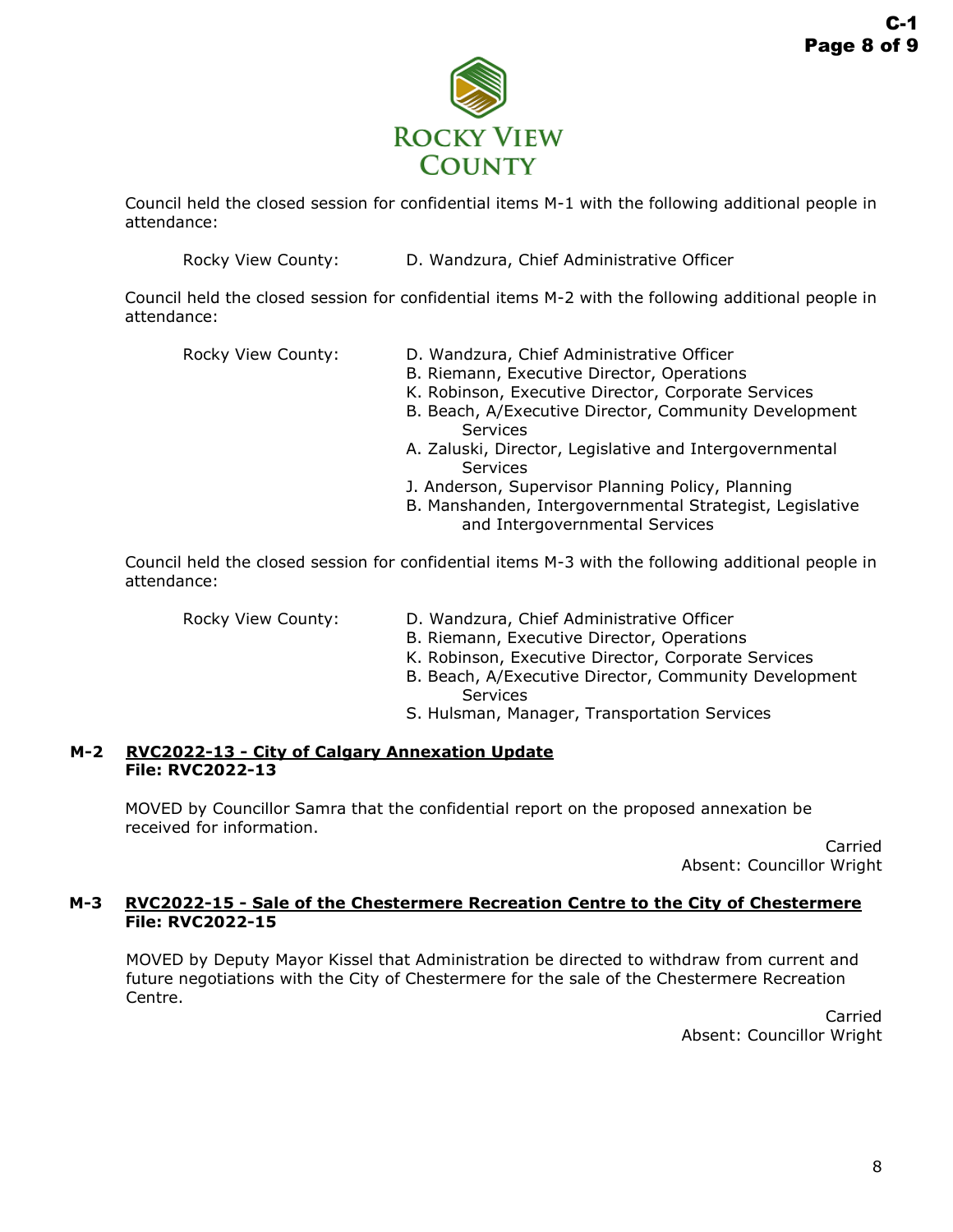

Council held the closed session for confidential items M-1 with the following additional people in attendance:

Rocky View County: D. Wandzura, Chief Administrative Officer

Council held the closed session for confidential items M-2 with the following additional people in attendance:

- Rocky View County: D. Wandzura, Chief Administrative Officer
	- B. Riemann, Executive Director, Operations
	- K. Robinson, Executive Director, Corporate Services
	- B. Beach, A/Executive Director, Community Development **Services**
	- A. Zaluski, Director, Legislative and Intergovernmental Services
	- J. Anderson, Supervisor Planning Policy, Planning
	- B. Manshanden, Intergovernmental Strategist, Legislative and Intergovernmental Services

Council held the closed session for confidential items M-3 with the following additional people in attendance:

- Rocky View County: D. Wandzura, Chief Administrative Officer
	- B. Riemann, Executive Director, Operations
	- K. Robinson, Executive Director, Corporate Services
	- B. Beach, A/Executive Director, Community Development Services
	- S. Hulsman, Manager, Transportation Services

#### **M-2 RVC2022-13 - City of Calgary Annexation Update File: RVC2022-13**

MOVED by Councillor Samra that the confidential report on the proposed annexation be received for information.

Carried Absent: Councillor Wright

# **M-3 RVC2022-15 - Sale of the Chestermere Recreation Centre to the City of Chestermere File: RVC2022-15**

MOVED by Deputy Mayor Kissel that Administration be directed to withdraw from current and future negotiations with the City of Chestermere for the sale of the Chestermere Recreation Centre.

Carried Absent: Councillor Wright